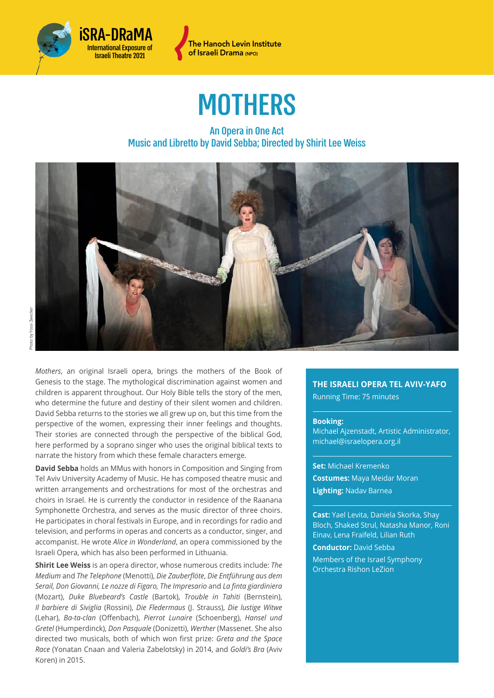



# **MOTHERS**

### An Opera in One Act Music and Libretto by David Sebba; Directed by Shirit Lee Weiss



*Mothers*, an original Israeli opera, brings the mothers of the Book of Genesis to the stage. The mythological discrimination against women and children is apparent throughout. Our Holy Bible tells the story of the men, who determine the future and destiny of their silent women and children. David Sebba returns to the stories we all grew up on, but this time from the perspective of the women, expressing their inner feelings and thoughts. Their stories are connected through the perspective of the biblical God, here performed by a soprano singer who uses the original biblical texts to narrate the history from which these female characters emerge.

**David Sebba** holds an MMus with honors in Composition and Singing from Tel Aviv University Academy of Music. He has composed theatre music and written arrangements and orchestrations for most of the orchestras and choirs in Israel. He is currently the conductor in residence of the Raanana Symphonette Orchestra, and serves as the music director of three choirs. He participates in choral festivals in Europe, and in recordings for radio and television, and performs in operas and concerts as a conductor, singer, and accompanist. He wrote *Alice in Wonderland*, an opera commissioned by the Israeli Opera, which has also been performed in Lithuania.

**Shirit Lee Weiss** is an opera director, whose numerous credits include: *The Medium* and *The Telephone* (Menotti), *Die Zauberflöte*, *Die Entführung aus dem Serail, Don Giovanni, Le nozze di Figaro, The Impresario* and *La finta giardiniera* (Mozart), *Duke Bluebeard's Castle* (Bartok), *Trouble in Tahiti* (Bernstein), *Il barbiere di Siviglia* (Rossini), *Die Fledermaus* (J. Strauss), *Die lustige Witwe* (Lehar), *Ba-ta-clan* (Offenbach), *Pierrot Lunaire* (Schoenberg), *Hansel und Gretel* (Humperdinck), *Don Pasquale* (Donizetti), *Werther* (Massenet. She also directed two musicals, both of which won first prize: *Greta and the Space Race* (Yonatan Cnaan and Valeria Zabelotsky) in 2014, and *Goldi's Bra* (Aviv Koren) in 2015.

#### **THE ISRAELI OPERA TEL AVIV-YAFO**

Running Time: 75 minutes

#### **Booking:**

Michael Ajzenstadt, Artistic Administrator, [michael@israelopera.org.il](mailto:michael@israelopera.org.il) 

**Set:** Michael Kremenko **Costumes:** Maya Meidar Moran **Lighting:** Nadav Barnea

**Cast:** Yael Levita, Daniela Skorka, Shay Bloch, Shaked Strul, Natasha Manor, Roni Einav, Lena Fraifeld, Lilian Ruth

**Conductor:** David Sebba

Members of the Israel Symphony Orchestra Rishon LeZion